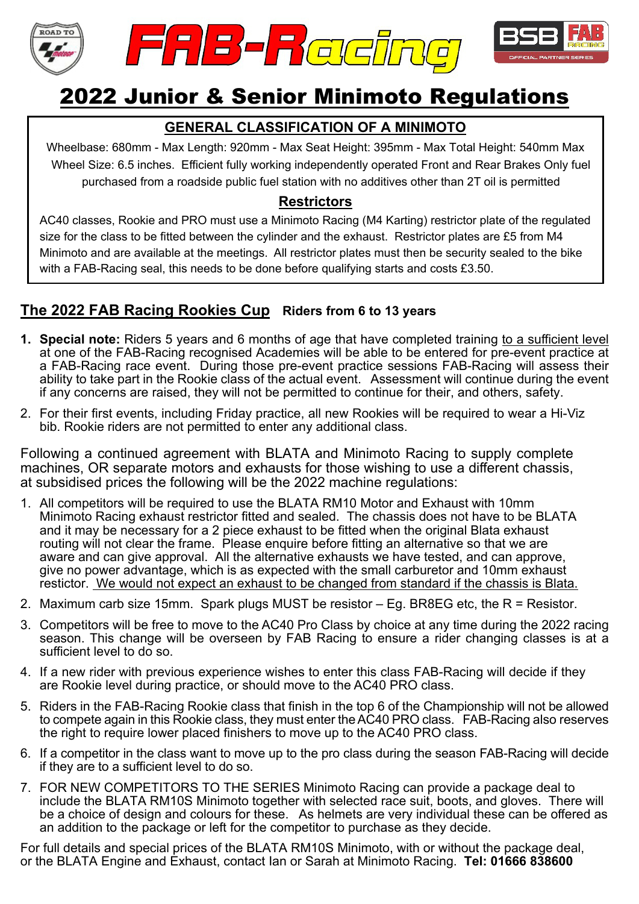





# **2022 Junior & Senior Minimoto Regulations**

### **GENERAL CLASSIFICATION OF A MINIMOTO**

Wheelbase: 680mm - Max Length: 920mm - Max Seat Height: 395mm - Max Total Height: 540mm Max Wheel Size: 6.5 inches. Efficient fully working independently operated Front and Rear Brakes Only fuel purchased from a roadside public fuel station with no additives other than 2T oil is permitted

### **Restrictors**

AC40 classes, Rookie and PRO must use a Minimoto Racing (M4 Karting) restrictor plate of the regulated size for the class to be fitted between the cylinder and the exhaust. Restrictor plates are £5 from M4 Minimoto and are available at the meetings. All restrictor plates must then be security sealed to the bike with a FAB-Racing seal, this needs to be done before qualifying starts and costs £3.50.

## **The 2022 FAB Racing Rookies Cup Riders from 6 to 13 years**

- **1. Special note:** Riders 5 years and 6 months of age that have completed training to a sufficient level at one of the FAB-Racing recognised Academies will be able to be entered for pre-event practice at a FAB-Racing race event. During those pre-event practice sessions FAB-Racing will assess their ability to take part in the Rookie class of the actual event. Assessment will continue during the event if any concerns are raised, they will not be permitted to continue for their, and others, safety.
- 2. For their first events, including Friday practice, all new Rookies will be required to wear a Hi-Viz bib. Rookie riders are not permitted to enter any additional class.

Following a continued agreement with BLATA and Minimoto Racing to supply complete machines, OR separate motors and exhausts for those wishing to use a different chassis, at subsidised prices the following will be the 2022 machine regulations:

- 1. All competitors will be required to use the BLATA RM10 Motor and Exhaust with 10mm Minimoto Racing exhaust restrictor fitted and sealed. The chassis does not have to be BLATA and it may be necessary for a 2 piece exhaust to be fitted when the original Blata exhaust routing will not clear the frame. Please enquire before fitting an alternative so that we are aware and can give approval. All the alternative exhausts we have tested, and can approve, give no power advantage, which is as expected with the small carburetor and 10mm exhaust restictor. We would not expect an exhaust to be changed from standard if the chassis is Blata.
- 2. Maximum carb size 15mm. Spark plugs MUST be resistor Eg. BR8EG etc, the R = Resistor.
- 3. Competitors will be free to move to the AC40 Pro Class by choice at any time during the 2022 racing season. This change will be overseen by FAB Racing to ensure a rider changing classes is at a sufficient level to do so.
- 4. If a new rider with previous experience wishes to enter this class FAB-Racing will decide if they are Rookie level during practice, or should move to the AC40 PRO class.
- 5. Riders in the FAB-Racing Rookie class that finish in the top 6 of the Championship will not be allowed to compete again in this Rookie class, they must enter theAC40 PRO class. FAB-Racing also reserves the right to require lower placed finishers to move up to the AC40 PRO class.
- 6. If a competitor in the class want to move up to the pro class during the season FAB-Racing will decide if they are to a sufficient level to do so.
- 7. FOR NEW COMPETITORS TO THE SERIES Minimoto Racing can provide a package deal to include the BLATA RM10S Minimoto together with selected race suit, boots, and gloves. There will be a choice of design and colours for these. As helmets are very individual these can be offered as an addition to the package or left for the competitor to purchase as they decide.

For full details and special prices of the BLATA RM10S Minimoto, with or without the package deal, or the BLATA Engine and Exhaust, contact Ian or Sarah at Minimoto Racing. **Tel: 01666 838600**